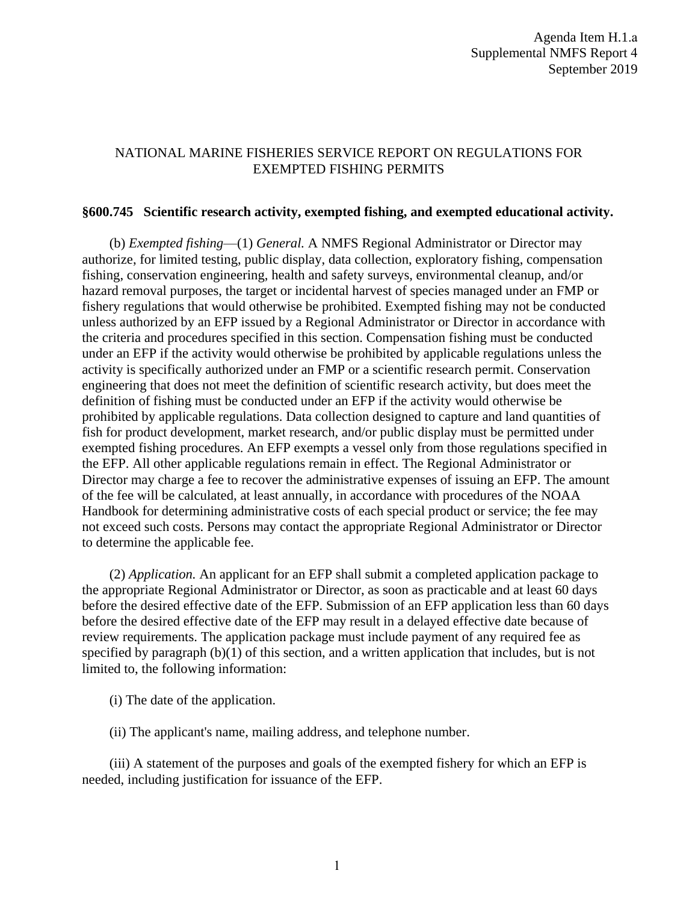## NATIONAL MARINE FISHERIES SERVICE REPORT ON REGULATIONS FOR EXEMPTED FISHING PERMITS

## **§600.745 Scientific research activity, exempted fishing, and exempted educational activity.**

(b) *Exempted fishing*—(1) *General.* A NMFS Regional Administrator or Director may authorize, for limited testing, public display, data collection, exploratory fishing, compensation fishing, conservation engineering, health and safety surveys, environmental cleanup, and/or hazard removal purposes, the target or incidental harvest of species managed under an FMP or fishery regulations that would otherwise be prohibited. Exempted fishing may not be conducted unless authorized by an EFP issued by a Regional Administrator or Director in accordance with the criteria and procedures specified in this section. Compensation fishing must be conducted under an EFP if the activity would otherwise be prohibited by applicable regulations unless the activity is specifically authorized under an FMP or a scientific research permit. Conservation engineering that does not meet the definition of scientific research activity, but does meet the definition of fishing must be conducted under an EFP if the activity would otherwise be prohibited by applicable regulations. Data collection designed to capture and land quantities of fish for product development, market research, and/or public display must be permitted under exempted fishing procedures. An EFP exempts a vessel only from those regulations specified in the EFP. All other applicable regulations remain in effect. The Regional Administrator or Director may charge a fee to recover the administrative expenses of issuing an EFP. The amount of the fee will be calculated, at least annually, in accordance with procedures of the NOAA Handbook for determining administrative costs of each special product or service; the fee may not exceed such costs. Persons may contact the appropriate Regional Administrator or Director to determine the applicable fee.

(2) *Application.* An applicant for an EFP shall submit a completed application package to the appropriate Regional Administrator or Director, as soon as practicable and at least 60 days before the desired effective date of the EFP. Submission of an EFP application less than 60 days before the desired effective date of the EFP may result in a delayed effective date because of review requirements. The application package must include payment of any required fee as specified by paragraph (b)(1) of this section, and a written application that includes, but is not limited to, the following information:

(i) The date of the application.

(ii) The applicant's name, mailing address, and telephone number.

(iii) A statement of the purposes and goals of the exempted fishery for which an EFP is needed, including justification for issuance of the EFP.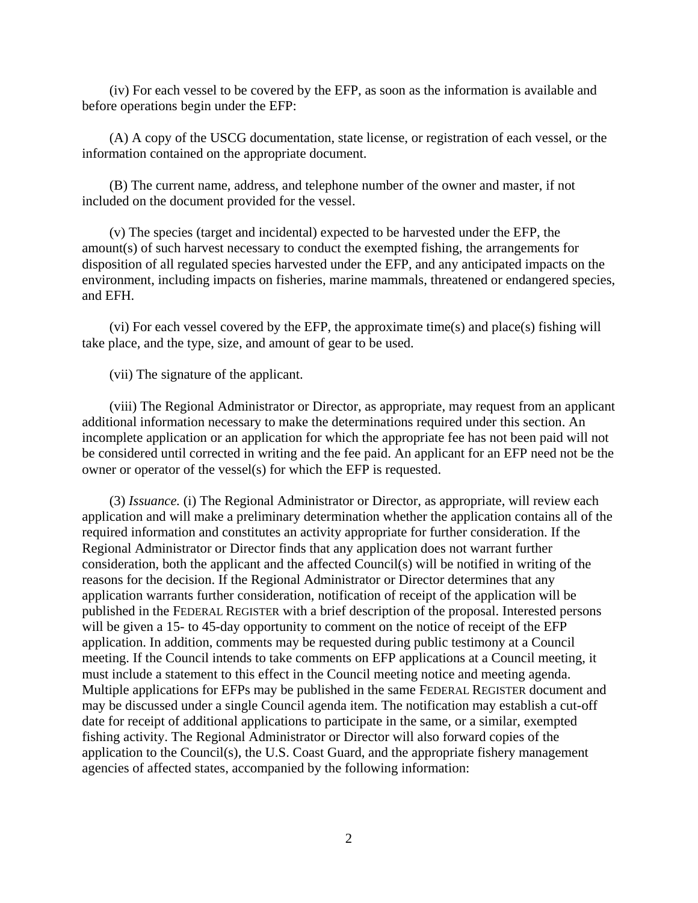(iv) For each vessel to be covered by the EFP, as soon as the information is available and before operations begin under the EFP:

(A) A copy of the USCG documentation, state license, or registration of each vessel, or the information contained on the appropriate document.

(B) The current name, address, and telephone number of the owner and master, if not included on the document provided for the vessel.

(v) The species (target and incidental) expected to be harvested under the EFP, the amount(s) of such harvest necessary to conduct the exempted fishing, the arrangements for disposition of all regulated species harvested under the EFP, and any anticipated impacts on the environment, including impacts on fisheries, marine mammals, threatened or endangered species, and EFH.

(vi) For each vessel covered by the EFP, the approximate time(s) and place(s) fishing will take place, and the type, size, and amount of gear to be used.

(vii) The signature of the applicant.

(viii) The Regional Administrator or Director, as appropriate, may request from an applicant additional information necessary to make the determinations required under this section. An incomplete application or an application for which the appropriate fee has not been paid will not be considered until corrected in writing and the fee paid. An applicant for an EFP need not be the owner or operator of the vessel(s) for which the EFP is requested.

(3) *Issuance.* (i) The Regional Administrator or Director, as appropriate, will review each application and will make a preliminary determination whether the application contains all of the required information and constitutes an activity appropriate for further consideration. If the Regional Administrator or Director finds that any application does not warrant further consideration, both the applicant and the affected Council(s) will be notified in writing of the reasons for the decision. If the Regional Administrator or Director determines that any application warrants further consideration, notification of receipt of the application will be published in the FEDERAL REGISTER with a brief description of the proposal. Interested persons will be given a 15- to 45-day opportunity to comment on the notice of receipt of the EFP application. In addition, comments may be requested during public testimony at a Council meeting. If the Council intends to take comments on EFP applications at a Council meeting, it must include a statement to this effect in the Council meeting notice and meeting agenda. Multiple applications for EFPs may be published in the same FEDERAL REGISTER document and may be discussed under a single Council agenda item. The notification may establish a cut-off date for receipt of additional applications to participate in the same, or a similar, exempted fishing activity. The Regional Administrator or Director will also forward copies of the application to the Council(s), the U.S. Coast Guard, and the appropriate fishery management agencies of affected states, accompanied by the following information: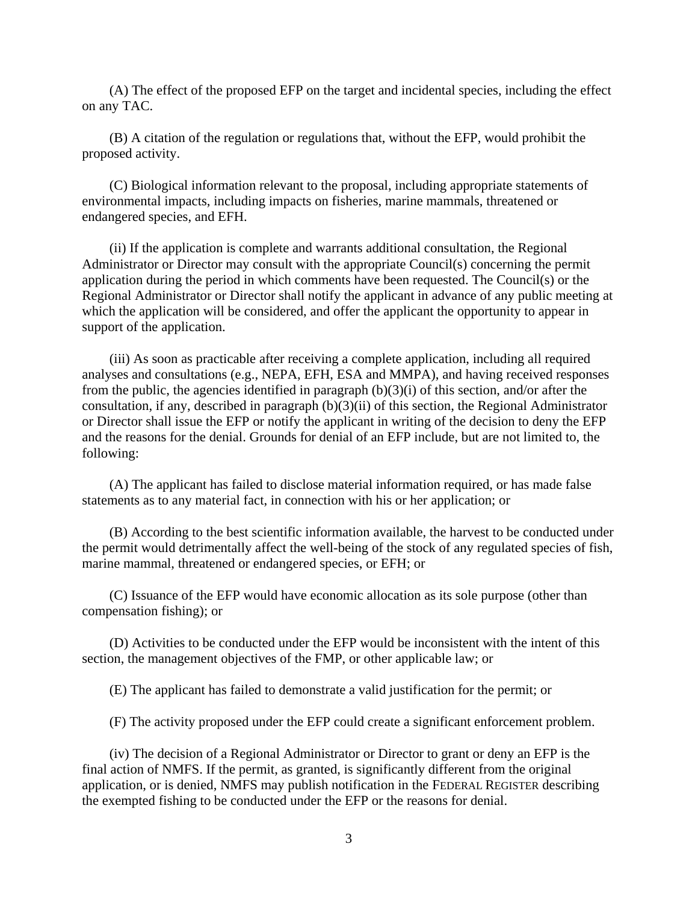(A) The effect of the proposed EFP on the target and incidental species, including the effect on any TAC.

(B) A citation of the regulation or regulations that, without the EFP, would prohibit the proposed activity.

(C) Biological information relevant to the proposal, including appropriate statements of environmental impacts, including impacts on fisheries, marine mammals, threatened or endangered species, and EFH.

(ii) If the application is complete and warrants additional consultation, the Regional Administrator or Director may consult with the appropriate Council(s) concerning the permit application during the period in which comments have been requested. The Council(s) or the Regional Administrator or Director shall notify the applicant in advance of any public meeting at which the application will be considered, and offer the applicant the opportunity to appear in support of the application.

(iii) As soon as practicable after receiving a complete application, including all required analyses and consultations (e.g., NEPA, EFH, ESA and MMPA), and having received responses from the public, the agencies identified in paragraph  $(b)(3)(i)$  of this section, and/or after the consultation, if any, described in paragraph (b)(3)(ii) of this section, the Regional Administrator or Director shall issue the EFP or notify the applicant in writing of the decision to deny the EFP and the reasons for the denial. Grounds for denial of an EFP include, but are not limited to, the following:

(A) The applicant has failed to disclose material information required, or has made false statements as to any material fact, in connection with his or her application; or

(B) According to the best scientific information available, the harvest to be conducted under the permit would detrimentally affect the well-being of the stock of any regulated species of fish, marine mammal, threatened or endangered species, or EFH; or

(C) Issuance of the EFP would have economic allocation as its sole purpose (other than compensation fishing); or

(D) Activities to be conducted under the EFP would be inconsistent with the intent of this section, the management objectives of the FMP, or other applicable law; or

(E) The applicant has failed to demonstrate a valid justification for the permit; or

(F) The activity proposed under the EFP could create a significant enforcement problem.

(iv) The decision of a Regional Administrator or Director to grant or deny an EFP is the final action of NMFS. If the permit, as granted, is significantly different from the original application, or is denied, NMFS may publish notification in the FEDERAL REGISTER describing the exempted fishing to be conducted under the EFP or the reasons for denial.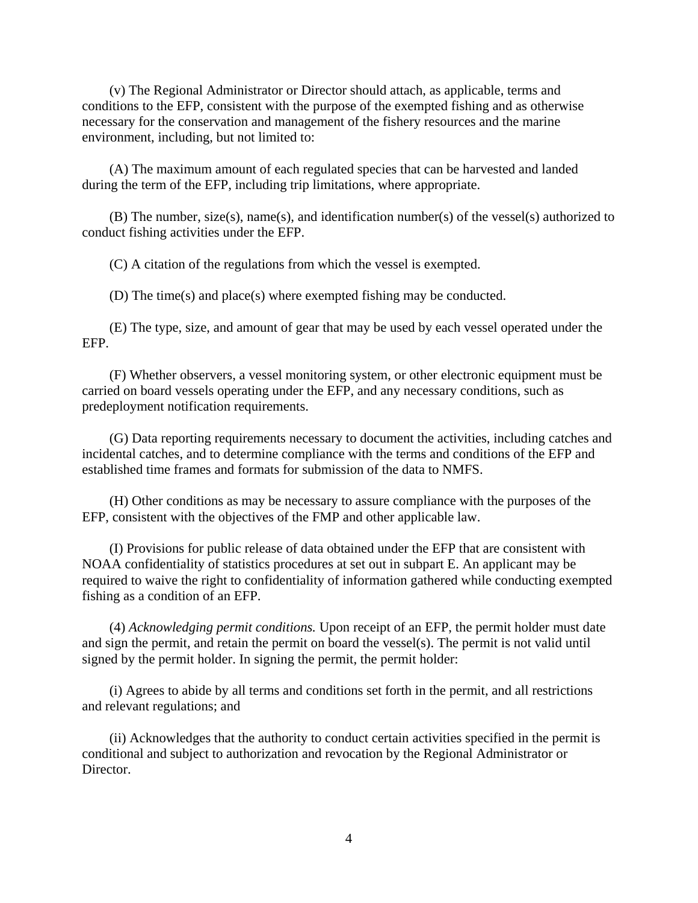(v) The Regional Administrator or Director should attach, as applicable, terms and conditions to the EFP, consistent with the purpose of the exempted fishing and as otherwise necessary for the conservation and management of the fishery resources and the marine environment, including, but not limited to:

(A) The maximum amount of each regulated species that can be harvested and landed during the term of the EFP, including trip limitations, where appropriate.

(B) The number, size(s), name(s), and identification number(s) of the vessel(s) authorized to conduct fishing activities under the EFP.

(C) A citation of the regulations from which the vessel is exempted.

(D) The time(s) and place(s) where exempted fishing may be conducted.

(E) The type, size, and amount of gear that may be used by each vessel operated under the EFP.

(F) Whether observers, a vessel monitoring system, or other electronic equipment must be carried on board vessels operating under the EFP, and any necessary conditions, such as predeployment notification requirements.

(G) Data reporting requirements necessary to document the activities, including catches and incidental catches, and to determine compliance with the terms and conditions of the EFP and established time frames and formats for submission of the data to NMFS.

(H) Other conditions as may be necessary to assure compliance with the purposes of the EFP, consistent with the objectives of the FMP and other applicable law.

(I) Provisions for public release of data obtained under the EFP that are consistent with NOAA confidentiality of statistics procedures at set out in subpart E. An applicant may be required to waive the right to confidentiality of information gathered while conducting exempted fishing as a condition of an EFP.

(4) *Acknowledging permit conditions.* Upon receipt of an EFP, the permit holder must date and sign the permit, and retain the permit on board the vessel(s). The permit is not valid until signed by the permit holder. In signing the permit, the permit holder:

(i) Agrees to abide by all terms and conditions set forth in the permit, and all restrictions and relevant regulations; and

(ii) Acknowledges that the authority to conduct certain activities specified in the permit is conditional and subject to authorization and revocation by the Regional Administrator or Director.